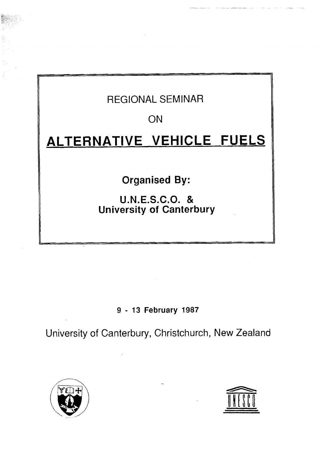## REGIONAL SEMINAR

ON

# **ALTERNATIVE VEHICLE FUELS**

**Organised By:** 

**U.N.E.S.C.O.** & **University of Canterbury** 

**9** - **13 February 1987** 

University of Canterbury, Christchurch, New Zealand





**1**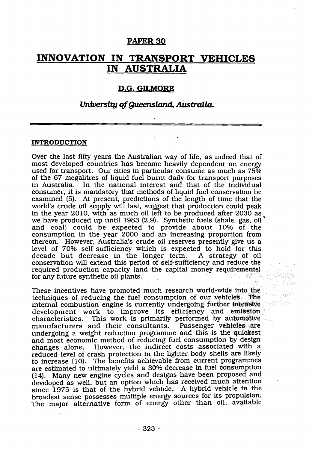#### **PAPER 30**

### **INNOVATION IN TRANSPORT VEHICLES IN AUSTRALIA**

#### **D.G. GILNIORE**

#### **University of** *Queemland,* **Australia.**

#### **INTRODUCTION**

Over the last fifty years the Australian way of life, as indeed that of most developed countries has become heavily dependent on energy used for transport. Our cities in particular consume as much as 75% of the 67 megalitres of liquid fuel burnt daily for transport purposes in Australia. In the national interest and that of the individual consumer, it is mandatory that methods of liquid fuel conservation be examined (5). At present, predictions of the length of time that the world's crude oil supply will last, suggest that production could peak in the year 2010, with as much oil left to be produced after 2030 as we have produced up until 1983 (2,9). Synthetic fuels (shale, gas, oil ' and coal) could be expected to provide about 10% of the consumption in the year 2000 and an increasing proportion from thereon. However, Australia's crude oil reserves presently give us a level of 70% self-sufficiency which is expected to hold for this decade but decrease in the longer term. A strategy of oil decade but decrease in the longer term. conservation will extend this period of self-sufficiency and reduce the required production capacity (and the capital money requirements)<br>for any future synthetic oil plants. for any future synthetic oil plants.

These incentives have promoted much research world-wide into **the**  techniques of reducing the fuel consumption of our vehicles. The internal combustion engine is currently undergoing further intensive development work to improve its efficiency and emission characteristics. This work is primarily performed by automotive manufacturers and their consultants. Passenger vehicles are manufacturers and their consultants. undergoing a weight reduction programme and this is the quickest<br>and most economic method of reducing fuel consumption by design changes alone. However, the indirect costs associated with a reduced level of crash protection in the lighter body shells are likely to increase (10). The benefits achievable from current programmes are estimated to ultimately yield a 30% decrease in fuel consumption (14). Many new engine cycles and designs have been proposed and developed as well, but an option which has received much attention since 1975 is that of the hybrid vehicle. A hybrid vehicle in the broadest sense possesses multiple energy sources for its propulsion. The major alternative form of energy other than oil, available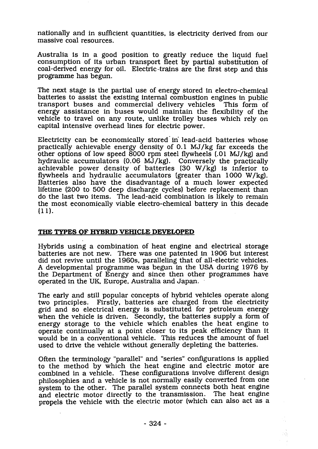nationally and in sufficient quantities, is electricity derived from our massive coal resources.

Australia is in a good position to greatly reduce the liquid fuel consumption of its urban transport fleet by partial substitution of coal-derived energy for oil. Electric-trains are the first step and this programme has begun.

The next stage is the partial use of energy stored in electro-chemical batteries to assist the existing internal combustion engines in public transport buses and commercial delivery vehicles. This form of transport buses and commercial delivery vehicles energy assistance in buses would maintain the flexibility of the vehicle to travel on any route, unlike trolley buses which rely on capital intensive overhead lines for electric power.

Electricity can be economically stored in lead-acid batteries whose practically achievable energy density of 0.1 MJ/kg far exceeds the other options of low speed 8000 rpm steel flywheels (.01 MJ/kg) and hydraulic accumulators (0.06 MJ/kg). Conversely the practically achievable power density of batteries (30 W/kg) is inferior to flywheels and hydraulic accumulators (greater than 1000 **W/kg).**  Batteries also have the disadvantage of a much lower expected lifetime (200 to 500 deep discharge cycles) before replacement than do the last two items. The lead-acid combination is likely to remain the most economically viable electro-chemical battery in this decade  $(11)$ .

#### **THE TYPES OF HYBRID VEHICLE DEVELOPED**

Hybrids using a combination of heat engine and electrical storage batteries are not new. There was one patented in 1906 but interest did not revive until the 1960s, paralleling that of all-electric vehicles. A developmental programme was begun in the USA during 1976 by the Department of Energy and since then other programmes have operated in the UK, Europe, Australia and Japan.

The early and still popular concepts of hybrid vehicles operate along two principles. Firstly, batteries are charged from the electricity grid and so electrical energy is substituted for petroleum energy when the vehicle is driven. Secondly, the batteries supply a form of energy storage to the vehicle which enables the heat engine to operate continually at a point closer to its peak efficiency than it would be in a conventional vehicle. This reduces the amount of fuel used to drive the vehicle without generally depleting the batteries.

Often the terminology "parallel" and "series" configurations is applied to the method by which the heat engine and electric motor are combined in a vehicle. These configurations involve different design philosophies and a vehicle is not normally easily converted from one system to the other. The parallel system connects both heat engine and electric motor directly to the transmission. The heat engine propels the vehicle with the electric motor (which can also act as a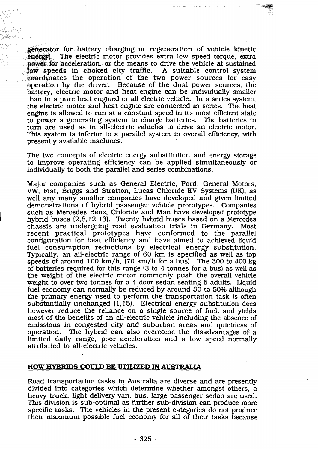generator for battery charging or regeneration of vehicle kinetic energy). The electric motor provides extra low speed torque, extra **power for** acceleration, or the means to drive the vehicle at sustained **low** speeds in choked city traffic. A suitable control system coordinates the operation of the two power sources for easy operation by the driver. Because of the dual power sources, the battery, electric motor and heat engine can be individually smaller than in a pure heat engined or all electric vehicle. In a series system, the electric motor and heat engine are connected in series. The heat engine is allowed to run at a constant speed in its most efficient state to power a generating system to charge batteries. The battertes in turn are used as in all-electric vehicles to drive an electric motor. This system is inferior to a parallel system in overall efficiency, with presently available machines.

The two concepts of electric energy substitution and energy storage to improve operating efficiency can be applied simultaneously or individually to both the parallel and series combinations.

Major companies such as General Electric, Ford, General Motors, W. Fiat. Briggs and Stratton, Lucas Chloride EV Systems **(UK),** as well any many smaller companies have developed and given limited demonstrations of hybrid passenger vehicle prototypes. Companies such as Mercedes Benz, Chloride and **Man** have developed prototype hybrid buses (2,8,12,13). Twenty hybrid buses based on a Mercedes chassis are undergoing road evaluation trials in Germany. Most chassis are undergoing road evaluation trials in Germany. recent practical prototypes have conformed to the parallel configuration for best efficiency and have aimed to achieved liquid fuel consumption reductions by electrical energy substitution. Typically, an all-electric range of 60 km is specified as well as top speeds of around 100 km/h, (70 km/h for a bus). The 300 to 400 kg of batteries required for this range (3 to 4 tomes for a bus) as well as the weight of the electric motor commonly push the overall vehicle weight to over two tonnes for a 4 door sedan seating 5 adults. Liquid fuel economy can normally be reduced by around 30 to 50% although the primary energy used to perform the transportation task is often substantially unchanged (1,15). Electrical energy substitution does however reduce the reliance on a single source of fuel. and yields most of the benefits of **an** all-electric vehicle including the absence of emissions in congested city and suburban areas and quietness of operation. The hybrid can also overcome the disadvantages of a limited daily range, poor acceleration and a low speed normally attributed to all-electric vehicles.

#### **HOW HYBRIDS COULD BE UTILIZED IN AUSTRALIA**

Road transportation tasks in Australia are diverse and are presently divided into categories which determine whether amongst others, a heavy truck. light delivery van, bus, large passenger sedan are used. **This** division is sub-optimal as further sub-division can produce more specific tasks. The vehicles in the present categories do not produce their maximum possible fuel economy for all of their tasks because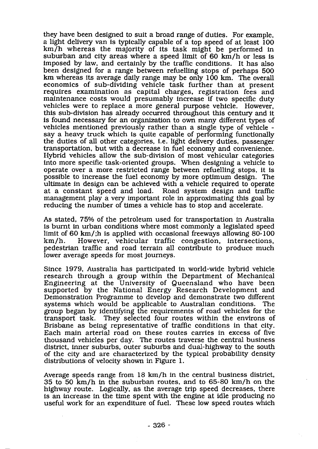they have been designed to suit a broad range of duties. For example, a light delivery van is typically capable of a top speed of at least 100 km/h whereas the majority of its task might be performed in suburban and city areas where a speed limit of 60 km/h or less is imposed by law, and certainly by the traffic conditions. It has also been designed for a range between refuelling stops of perhaps 500 **km** whereas its average daily range may be only 100 **km.** The overall economics of sub-dividing vehicle task further than at present requires examination as capital charges, registration fees and maintenance costs would presumably increase if two specific duty vehicles were to replace a more general purpose vehicle. However, this sub-division has already occurred throughout this century and it is found necessary for an organization to own many different types of vehicles mentioned previously rather than a single type of vehicle say a heavy truck which is quite capable of performing functionally the duties of all other categories, i.e. light delivery duties, passenger transportation, but with a decrease in fuel economy and convenience. Hybrid vehicles allow the sub-division of most vehicular categories into more specific task-oriented groups. When designing a vehicle to operate over a more restricted range between refuelling stops, it is possible to increase the fuel economy by more optimum design. The ultimate in design can be achieved with a vehicle required to operate<br>at a constant speed and load. Road system design and traffic Road system design and traffic management play a very important role in approximating this goal by reducing the number of times a vehicle has to stop and accelerate.

**As** stated, 75% of the petroleum used for transportation in Australia is burnt in urban conditions where most commonly a legislated speed limit of 60 km/;h is applied with occasional freeways allowing 80-100 km/h. However, vehicular traffic congestion, intersections. However, vehicular traffic congestion, intersections, pedestrian traffic and road terrain all contribute to produce much lower average speeds for most journeys.

Since 1979, Australia has participated in world-wide hybrid vehicle research through a group within the Department of Mechanical Engineering at the University of Queensland who have been supported by the National Energy Research Development and Demonstration Programme to develop and demonstrate two different systems which would be applicable to Australian conditions. The group began by identifying the requirements of road vehicles for the transport task. They selected four routes within the environs of They selected four routes within the environs of Brisbane as being representative of traffic conditions in that city. Each main arterial road on these routes carries in excess of five thousand vehicles per day. The routes traverse the central business district, inner suburbs, outer suburbs and dual-highway to the south of the city and are characterized by the typical probability density distributions of velocity shown in Figure 1.

Average speeds range from 18 km/h in the central business district, 35 to 50 krn/h in the suburban routes, and to 65-80 km/h on the highway route. Logically, as the average trip speed decreases, there is an increase in the time spent with the engine at idle producing no useful work for an expenditure of fuel. These low speed routes which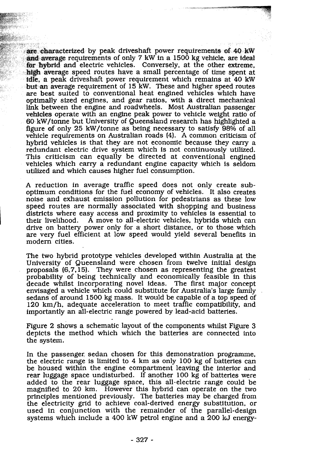are characterized by peak driveshaft power requirements of 40 kW and average requirements of only 7 kW in a 1500 kg vehicle, are ideal for hybrid and electric vehicles. Conversely, at the other extreme, high average speed routes have a small percentage of time spent at delle, a peak driveshaft power requirement which remains at 40 kW but an average requirement of 15 kW. These and higher speed routes are best suited to conventional heat engined vehicles which have optimally sized engines, and gear ratios, with a direct mechanical link between the engine and roadwheels. Most Australian passenger vehicles operate with an engine peak power to vehicle weight ratio of 60 kW/tonne but University of Queensland research has highlighted a figure of only 25 kW/tonne as being necessary to satisfy 98% of all vehicle requirements on Australian roads (4). A common criticism of hybrid vehicles is that they are not economic because they carry a redundant electric drive system which is not continuously utilized. This criticism can equally be directed at conventional engined vehicles which carry a redundant engine capacity which is seldom utilized and which causes higher fuel consumption.

**A** reduction in average traffic speed does not only create suboptimum conditions for the fuel economy of vehicles. It also creates noise and exhaust emission pollution for pedestrians as these low speed routes are normally associated with shopping and business districts where easy access and proximity to vehicles is essential to their livelihood. A move to all-electric vehicles, hybrids which can A move to all-electric vehicles, hybrids which can drive on battery power only for a short distance, or to those which are very fuel efficient at low speed would yield several benefits in modern cities.

The two hybrid prototype vehicles developed within Australia at the University of Queensland were chosen from twelve initial design proposals (6,7,15). They were chosen as representing the greatest probability of being technically and economically feasible in this decade whilst incorporating novel ideas. envisaged a vehicle which could substitute for Australia's large family sedans of around 1500 kg mass. It would be capable of a top speed of 120 km/h, adequate acceleration to meet traffic compatibility, and importantly an all-electric range powered by lead-acid batteries.

Figure 2 shows a schematic layout of the components whilst Figure **3**  depicts the method which which the batteries are connected into the system.

In the passenger sedan chosen for this demonstration programme, the electric range is limited to 4 **km** as only 100 kg of batteries can be housed within the engine compartment leaving the interior and rear luggage space undisturbed. If another 100 kg of batteries were added to the rear luggage space, this all-electric range could be magnified to 20 km. However this hybrid can operate on the two principles mentioned previously. The batteries may be charged from the electricity grid to achieve coal-derived energy substitution, or used in conjunction with the remainder of the parallel-design systems which include a 400 kW petrol engine and a 200 **kJ** energy-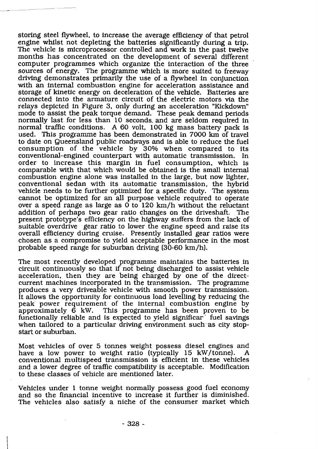storing steel flywheel, to increase the average efficiency of that petrol engine whilst not depleting the batteries significantly during a trip. The vehicle is microprocessor controlled and work in the past twelve months has concentrated on the development of several different computer programmes which organize the interaction of the three sources of energy. The programme which is more suited to freeway driving demonstrates primarily the use of a flywheel in conjunction with an internal combustion engine for acceleration assistance and storage of kinetic energy on deceleration of the vehicle. Batteries are connected into the armature circuit of the electric motors via the relays depicted in Figure 3, only during **an** acceleration "Kickdown" mode to assist the peak torque demand. These peak demand periods normally last for less than 10 seconds. and are seldom required in normal traffic conditions. A 60 volt, 100 **kg** mass battery pack is used. This programme has been demonstrated in 7000 **km** of travel to date on Queensland public roadways and is able to reduce the fuel consumption of the vehicle by 30% when compared to its conventional-engined counterpart with automatic transmission. In order to increase this margin in fuel consumption, which is comparable with that which would be obtained is the small internal combustion engine alone was installed in the large, but now lighter, conventional sedan with its automatic transmission, the hybrid vehicle needs to be further optimized for a specific duty. The system cannot be optimized for an all purpose vehicle required to operate over a speed range as large as 0 to 120 km/h without the reluctant addition of perhaps two gear ratio changes on the driveshaft. The present prototype's efficiency on the highway suffers from the lack of suitable overdrive gear ratio to lower the engine speed and raise its overall efficiency during cruise. Presently installed gear ratios were chosen as a compromise to yield acceptable performance in the most probable speed range for suburban driving (30-60 km/h).

The most recently developed programme maintains the batteries in circuit continuously so that if not being discharged to assist vehicle acceleration, then they are being charged by one of the directcurrent machines incorporated in the transmission. The programme produces a very driveable vehicle with smooth power transmission. It allows the opportunity for continuous load levelling by reducing the peak power requirement of the internal combustion engine by approximately 6 **kW.** This programme has been proven to be functionally reliable and is expected to yield significar' fuel savings when tailored to a particular driving environment such as city stopstart or suburban.

Most vehicles of over 5 tonnes weight possess diesel engines **and**  have a low power to weight ratio (typically 15 kW/tonne). conventional multispeed transmission is efficient in these vehicles and a lower degree of traffic compatibility is acceptable. Modification to these classes of vehicle are mentioned later.

Vehicles under 1 tonne weight normally possess good fuel economy and so the financial incentive to increase it further is diminished. The vehicles also satisfy a niche of the consumer market which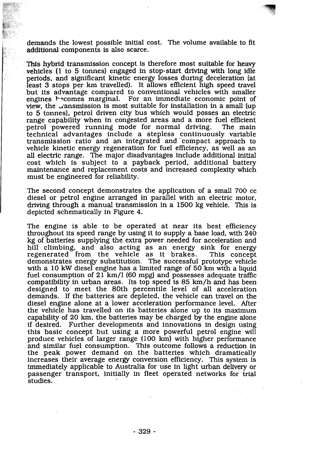demands the lowest possible initial cost. The volume available to fit additional components is also scarce.

This hybrid transmission concept is therefore most suitable for heavy vehicles (1 to 5 tonnes) engaged in stop-start driving **with** long idle periods, and significant kinetic energy losses during deceleration (at least 3 stops per **km** travelled). It allows efficient high speed travel but its advantage compared to conventional vehicles with smaller engines Pscomes marginal. For an immediate economic point of view, the gansmission is most suitable for installation in a small (up to 5 tonnes], petrol driven city bus which would posses an electric range capability when in congested areas and a more fuel efficient<br>petrol powered running mode for normal driving. The main petrol powered running mode for normal driving. technical advantages include a stepless continuously variable transmission ratio and an integrated and 'compact approach to vehicle kinetic energy regeneration for fuel efficiency, as well as an **all** electric range. The major disadvantages include additional initial cost which is subject to a payback period, additional battery maintenance and replacement costs and increased complexity which must be engineered for reliability.

The second concept demonstrates the application of a small **700** cc diesel or petrol engine arranged in parallel with an electric motor, driving through a manual transmission in a 1500 kg vehicle. This is depicted schematically in Figure **4.** 

The engine is able to be operated at near its best efficiency throughout its speed range by using it to supply a base load, with **240 kg** of batteries supplying the extra power needed for acceleration and hill climbing, and also acting as an energy sink for energy<br>regenerated from the vehicle as it brakes. This concept regenerated from the vehicle as it brakes. demonstrates energy substitution. The successful prototype vehide with a 10 kW diesel engine has a limited range of 50 km with a liquid fuel consumption of 21 km/l (60 mpg) and possesses adequate traffic compatibility in urban areas. Its top speed is 85 km/h and has been designed to meet the 80th percentile level of all acceleration demands. If the batteries are depleted, the vehicle can travel on the diesel engine alone at a lower acceleration performance level. After the vehicle has travelled on its batteries alone up to its maximum capability of 20 **krn,** the batteries may be charged by the engine alone if desired. Further developments and innovations in design using this basic concept but using a more powerful petrol engine will produce vehicles of larger range (100 km) with higher performance and similar fuel consumption. This outcome follows a reduction in the peak power demand on the batteries which dramatically increases their average energy conversion efficiency. This system is immediately applicable to Australia for use in light urban delivery or passenger transport, initially in fleet operated networks for trial passenger unnoport, mini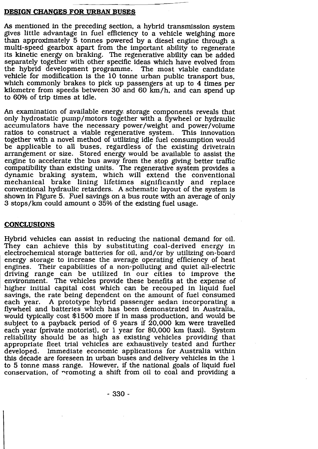#### **DESIGN CHANGES FOR URBAN BUSES**

**As** mentioned in the preceding section, a hybrid transmission system gives little advantage in fuel efficiency to a vehicle weighing more than approximately 5 tonnes powered by a diesel engine through a multi-speed gearbox apart from the important ability to regenerate its kinetic energy on braking. The regenerative ability can be added separately together with other specific ideas which have evolved from the hybrid development programme. The most viable candidate vehicle for modification is the 10 tonne urban public transport bus, which commonly brakes to pick up passengers at up to 4 times per kilometre from speeds between 30 and 60 km/h, and can spend up to 60% of trip times at idle.

An examination of available energy- storage components reveals that only hydrostatic pump/motors together with a flywheel or hydraulic accumulators have the necessary power/weight and power/volume ratios to construct a viable regenerative system. This innovation ratios to construct a viable regenerative system. together with a novel method of utilizing idle fuel consumption would be applicable to all buses, regardless of the existing drivetrain arrangement or size. Stored energy would be available to assist the engine to accelerate the bus away from the stop giving better traffic compatibility than existing units . The regenerative system provides a dynamic braking system, which will extend the conventional mechanical brake lining lifetimes significantly and replace conventional hydraulic retarders. A schematic layout of the system is shown in Figure 5. Fuel savings on a bus route with an average of only 3 stops/km could amount o 35% of the existing fuel usage.

#### **CONCLUSIONS**

Hybrid vehicles can assist in reducing the national demand for oil. They can achieve this by substituting coal- derived energy in electrochemical storage batteries for oil, and/or by utilizing on-board energy storage to increase the average operating efficiency of heat engines. Their capabilities of a non-polluting and quiet all-electric driving range can be utilized in our cities to improve the environment. The vehicles provide these benefits at the expense of higher initial capital cost which can be recouped in liquid fuel savings, the rate being dependent on the amount of fuel consumed each year. A prototype hybrid passenger sedan incorporating a flywheel and batteries which has been demonstrated in Australia. would typically cost \$1500 more if in mass production, and would be subject to a payback period of 6 years if  $20,000$  km were travelled each year (private motorist), or 1 year for 80,000 **krn** (taxi). System reliability should be as high as existing vehicles providing that appropriate fleet trial vehicles are exhaustively tested and further developed. Immediate economic applications for Australia within this decade are foreseen in urban buses and delivery vehicles in the 1 to 5 tonne mass range. However, if the national goals of liquid fuel conservation, of promoting a shift from oil to coal and providing a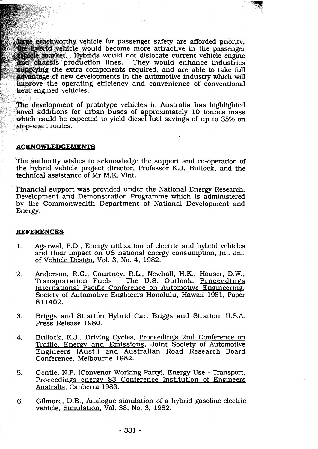farge crashworthy vehicle for passenger safety are afforded priority. the hybrid vehicle would become more attractive in the passenger wehicle market. Hybrids would not dislocate current vehicle engine<br>and chassis production lines. They would enhance industries supplying the extra components required, and are able to take full advantage of new developments in the automotive industry which will improve the operating efficiency and convenience of conventional heat engined vehicles.

'--V -7

The development of prototype vehicles in Australia has highlighted novel additions for urban buses of approximately 10 tonnes mass which could be expected to yield diesel fuel savings of up to 35% on stop-start routes.

#### **ACKNOWLEDGEMENTS**

The authority wishes to acknowledge the support and co-operation of the hybrid vehicle project director, Professor K.J. Bullock, and the technical assistance of Mr M.K. Vint.

Financial support was provided under the National Energy Research, Development and Demonstration Programme which is administered by the Commonwealth Department of National Development and Energy.

#### **REFERENCES**

- 1. Agarwal, P.D., Energy utilization of electric and hybrid vehicles and their impact on US national energy consumption, Int. Jnl. of Vehicle Design, Vol. 3, No. 4, 1982.
- 2. Anderson, R.G., Courtney, R.L., Newhall, H.K., Houser, D.W., Transportation Fuels - The U.S. Outlook, Proceedines International Pacific Conference on Automotive Engineering, Society of Automotive Engineers Honolulu, Hawaii 1981, Paper 81 1402.
- 3. Briggs and stratton Hybrid Car, Briggs and Stratton, U.S.A. Press Release 1980.
- 4. Bullock, K.J., Driving Cycles, Proceedings 2nd Conference on Traffic. Energy and Emissions, Joint Society of Automotive Engineers (Aust.) and Australian Road Research Board Conference. Melbourne 1982.
- **5.** Gentle, N.F. (Convenor Working Party), Energy Use Transport, Proceedings energv 83 Conference Institution of Engineers Australia, Canberra 1983.
- **6.** Gilmore, D.B., Analogue simulation of a hybrid gasoline-electric vehicle, Simulation, Vol. 38, No. 3, 1982.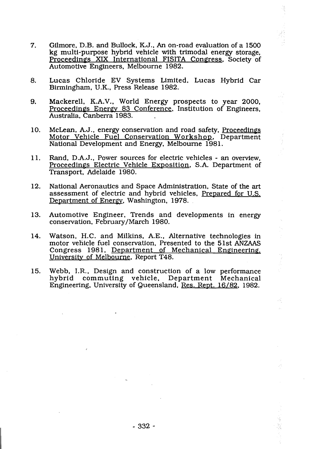- $7<sub>1</sub>$ Gilmore, D.B. and Bullock, K.J., An on-road evaluation of a 1500 kg multi-purpose hybrid vehicle with trimodal energy storage, Proceedings **XIX** International FISITA Congress, Society of Automotive Engineers, Melbourne 1982.
- 8. Lucas Chloride EV Systems Limited. Lucas Hybrid Car Birmingham, U.K., Press Release 1982.
- Mackerell, K.A.V., World Energy prospects to year 2000, 9. Proceedings Energv 83 Conference, Institution of Engineers, Australia, Canberra 1983.
- McLean, A.J., energy conservation and road safety, Proceedings 10. Motor Vehicle Fuel Conservation Workshop, Department National Development and Energy, Melbourne 1981.
- 11. Rand, D.A.J., Power sources for electric vehicles - an overview, Proceedings Electric Vehicle Exposition, S.A. Department of Transport, Adelaide 1980.
- 12. National Aeronautics and Space Administration, State of the art assessment of electric and hybrid vehicles, Prepared for U.S. Department of Energy, Washington, 1978.
- 13. Automotive Engineer, Trends and developments in energy conservation, February/March 1980.
- Watson, H.C. and Milkins, A.E., Alternative technologies in 14. motor vehicle fuel conservation, Presented to the 51st **ANZAAS**  Congress 1981, Department of Mechanical Engineering, University of Melbourne, Report T48.
- 15. Webb, I.R,, Design and construction of a low performance hybrid commuting vehicle, Department Mechanical Engineering, University of Queensland, Res. Rept. 16/82, 1982.

ЦÝ,  $\hat{\mathcal{L}}$  .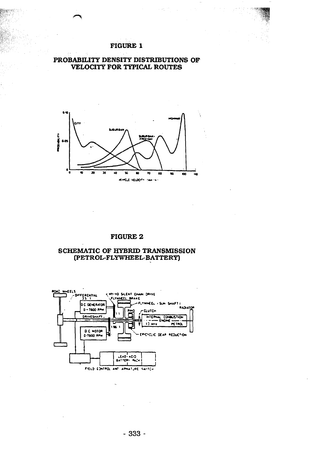#### **FIGURE 1**





#### **FIGURE 2**

#### **SCREMATIC OF HYBRID TRANSMISSION**  (PETROL-FLYWHEEL-BATTERY)

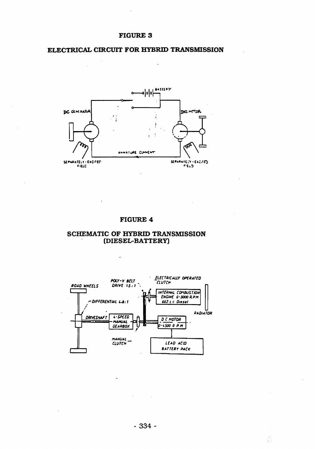#### **ELECTRICAL CIRCUIT FOR HYBRID TRANSMISSION**

i.

 $\ddot{\phantom{a}}$ 



#### **FIGURE 4**

#### **SCHEMATIC OF HYBRID TRANSMISSION (DIESECBATTERY)**

 $\overline{\phantom{a}}$ 



 $-334-$ 

式